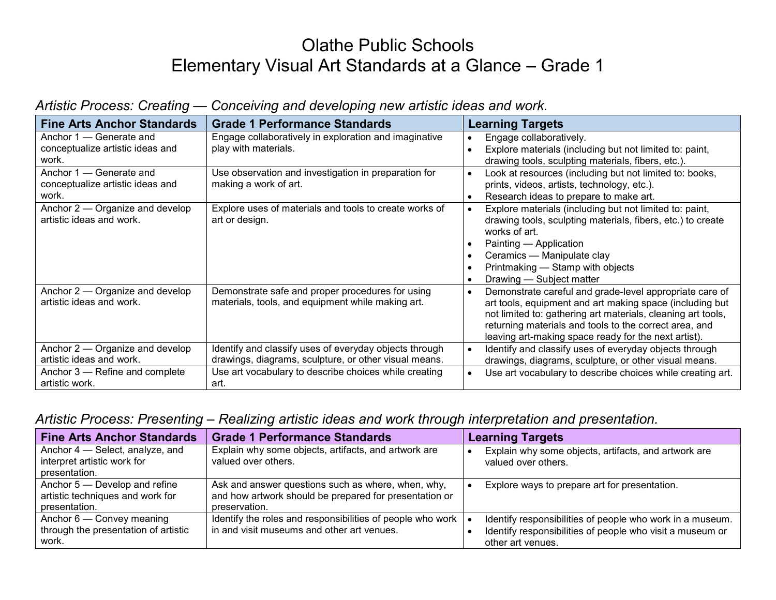# Olathe Public Schools Elementary Visual Art Standards at a Glance – Grade 1

| <b>Fine Arts Anchor Standards</b>                                    | <b>Grade 1 Performance Standards</b>                                                                            | <b>Learning Targets</b>                                                                                                                                                                                                                                                                                            |
|----------------------------------------------------------------------|-----------------------------------------------------------------------------------------------------------------|--------------------------------------------------------------------------------------------------------------------------------------------------------------------------------------------------------------------------------------------------------------------------------------------------------------------|
| Anchor 1 - Generate and<br>conceptualize artistic ideas and<br>work. | Engage collaboratively in exploration and imaginative<br>play with materials.                                   | Engage collaboratively.<br>Explore materials (including but not limited to: paint,<br>drawing tools, sculpting materials, fibers, etc.).                                                                                                                                                                           |
| Anchor 1 - Generate and<br>conceptualize artistic ideas and<br>work. | Use observation and investigation in preparation for<br>making a work of art.                                   | Look at resources (including but not limited to: books,<br>$\bullet$<br>prints, videos, artists, technology, etc.).<br>Research ideas to prepare to make art.                                                                                                                                                      |
| Anchor 2 – Organize and develop<br>artistic ideas and work.          | Explore uses of materials and tools to create works of<br>art or design.                                        | Explore materials (including but not limited to: paint,<br>$\bullet$<br>drawing tools, sculpting materials, fibers, etc.) to create<br>works of art.<br>Painting - Application<br>Ceramics - Manipulate clay<br>Printmaking - Stamp with objects<br>Drawing - Subject matter                                       |
| Anchor 2 – Organize and develop<br>artistic ideas and work.          | Demonstrate safe and proper procedures for using<br>materials, tools, and equipment while making art.           | Demonstrate careful and grade-level appropriate care of<br>$\bullet$<br>art tools, equipment and art making space (including but<br>not limited to: gathering art materials, cleaning art tools,<br>returning materials and tools to the correct area, and<br>leaving art-making space ready for the next artist). |
| Anchor 2 – Organize and develop<br>artistic ideas and work.          | Identify and classify uses of everyday objects through<br>drawings, diagrams, sculpture, or other visual means. | Identify and classify uses of everyday objects through<br>drawings, diagrams, sculpture, or other visual means.                                                                                                                                                                                                    |
| Anchor 3 – Refine and complete<br>artistic work.                     | Use art vocabulary to describe choices while creating<br>.art                                                   | Use art vocabulary to describe choices while creating art.<br>$\bullet$                                                                                                                                                                                                                                            |

#### *Artistic Process: Creating — Conceiving and developing new artistic ideas and work.*

# *Artistic Process: Presenting – Realizing artistic ideas and work through interpretation and presentation.*

| <b>Fine Arts Anchor Standards</b>                                                  | <b>Grade 1 Performance Standards</b>                                                                                          | <b>Learning Targets</b>                                                                                                                     |
|------------------------------------------------------------------------------------|-------------------------------------------------------------------------------------------------------------------------------|---------------------------------------------------------------------------------------------------------------------------------------------|
| Anchor 4 – Select, analyze, and<br>interpret artistic work for<br>presentation.    | Explain why some objects, artifacts, and artwork are<br>valued over others.                                                   | Explain why some objects, artifacts, and artwork are<br>valued over others.                                                                 |
| Anchor 5 – Develop and refine<br>artistic techniques and work for<br>presentation. | Ask and answer questions such as where, when, why,<br>and how artwork should be prepared for presentation or<br>preservation. | Explore ways to prepare art for presentation.                                                                                               |
| Anchor $6$ — Convey meaning<br>through the presentation of artistic<br>work.       | Identify the roles and responsibilities of people who work  <br>in and visit museums and other art venues.                    | Identify responsibilities of people who work in a museum.<br>Identify responsibilities of people who visit a museum or<br>other art venues. |